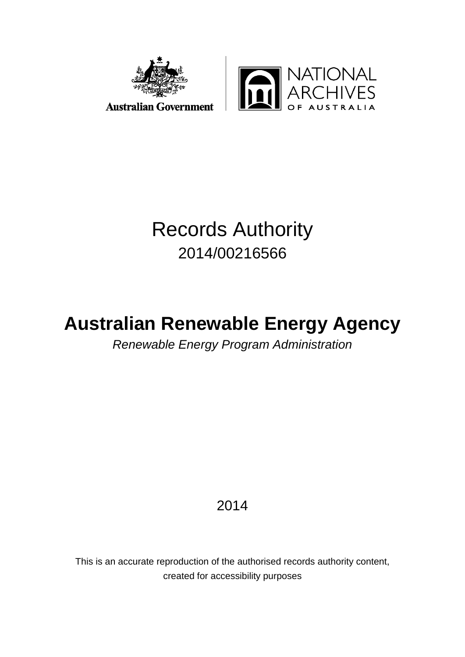



# Records Authority 2014/00216566

# **Australian Renewable Energy Agency**

*Renewable Energy Program Administration*

2014

This is an accurate reproduction of the authorised records authority content, created for accessibility purposes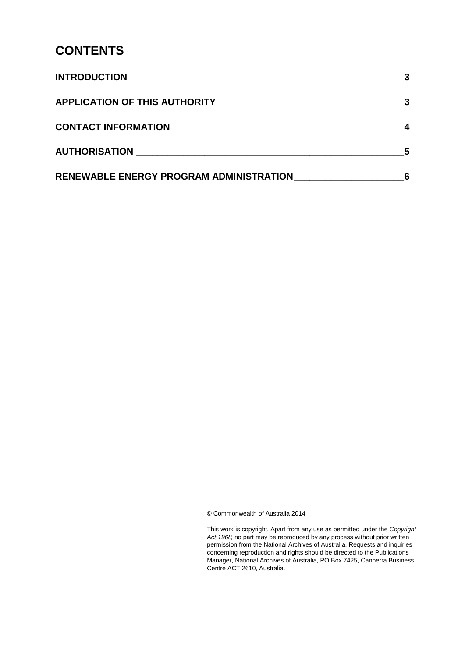#### **CONTENTS**

| AUTHORISATION NATION NATIONAL SERVICE SERVICE SERVICE SERVICE SERVICE SERVICE SERVICE SERVICE SERVICE SERVICE S |  |
|-----------------------------------------------------------------------------------------------------------------|--|
| <b>RENEWABLE ENERGY PROGRAM ADMINISTRATION</b>                                                                  |  |

© Commonwealth of Australia 2014

This work is copyright. Apart from any use as permitted under the *Copyright Act 1968,* no part may be reproduced by any process without prior written permission from the National Archives of Australia. Requests and inquiries concerning reproduction and rights should be directed to the Publications Manager, National Archives of Australia, PO Box 7425, Canberra Business Centre ACT 2610, Australia.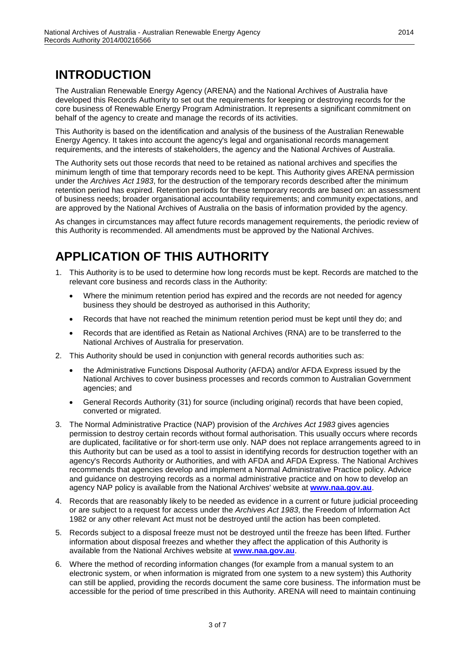## <span id="page-2-0"></span>**INTRODUCTION**

The Australian Renewable Energy Agency (ARENA) and the National Archives of Australia have developed this Records Authority to set out the requirements for keeping or destroying records for the core business of Renewable Energy Program Administration. It represents a significant commitment on behalf of the agency to create and manage the records of its activities.

This Authority is based on the identification and analysis of the business of the Australian Renewable Energy Agency. It takes into account the agency's legal and organisational records management requirements, and the interests of stakeholders, the agency and the National Archives of Australia.

The Authority sets out those records that need to be retained as national archives and specifies the minimum length of time that temporary records need to be kept. This Authority gives ARENA permission under the *Archives Act 1983*, for the destruction of the temporary records described after the minimum retention period has expired. Retention periods for these temporary records are based on: an assessment of business needs; broader organisational accountability requirements; and community expectations, and are approved by the National Archives of Australia on the basis of information provided by the agency.

As changes in circumstances may affect future records management requirements, the periodic review of this Authority is recommended. All amendments must be approved by the National Archives.

# <span id="page-2-1"></span>**APPLICATION OF THIS AUTHORITY**

- 1. This Authority is to be used to determine how long records must be kept. Records are matched to the relevant core business and records class in the Authority:
	- Where the minimum retention period has expired and the records are not needed for agency business they should be destroyed as authorised in this Authority;
	- Records that have not reached the minimum retention period must be kept until they do; and
	- Records that are identified as Retain as National Archives (RNA) are to be transferred to the National Archives of Australia for preservation.
- 2. This Authority should be used in conjunction with general records authorities such as:
	- the Administrative Functions Disposal Authority (AFDA) and/or AFDA Express issued by the National Archives to cover business processes and records common to Australian Government agencies; and
	- General Records Authority (31) for source (including original) records that have been copied, converted or migrated.
- 3. The Normal Administrative Practice (NAP) provision of the *Archives Act 1983* gives agencies permission to destroy certain records without formal authorisation. This usually occurs where records are duplicated, facilitative or for short-term use only. NAP does not replace arrangements agreed to in this Authority but can be used as a tool to assist in identifying records for destruction together with an agency's Records Authority or Authorities, and with AFDA and AFDA Express. The National Archives recommends that agencies develop and implement a Normal Administrative Practice policy. Advice and guidance on destroying records as a normal administrative practice and on how to develop an agency NAP policy is available from the National Archives' website at **[www.naa.gov.au](http://www.naa.gov.au/)**.
- 4. Records that are reasonably likely to be needed as evidence in a current or future judicial proceeding or are subject to a request for access under the *Archives Act 1983*, the Freedom of Information Act 1982 or any other relevant Act must not be destroyed until the action has been completed.
- 5. Records subject to a disposal freeze must not be destroyed until the freeze has been lifted. Further information about disposal freezes and whether they affect the application of this Authority is available from the National Archives website at **[www.naa.gov.au](http://www.naa.gov.au/)**.
- 6. Where the method of recording information changes (for example from a manual system to an electronic system, or when information is migrated from one system to a new system) this Authority can still be applied, providing the records document the same core business. The information must be accessible for the period of time prescribed in this Authority. ARENA will need to maintain continuing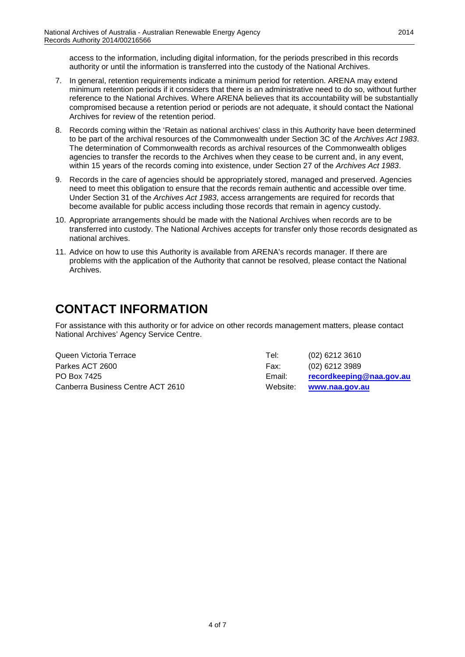access to the information, including digital information, for the periods prescribed in this records authority or until the information is transferred into the custody of the National Archives.

- 7. In general, retention requirements indicate a minimum period for retention. ARENA may extend minimum retention periods if it considers that there is an administrative need to do so, without further reference to the National Archives. Where ARENA believes that its accountability will be substantially compromised because a retention period or periods are not adequate, it should contact the National Archives for review of the retention period.
- 8. Records coming within the 'Retain as national archives' class in this Authority have been determined to be part of the archival resources of the Commonwealth under Section 3C of the *Archives Act 1983*. The determination of Commonwealth records as archival resources of the Commonwealth obliges agencies to transfer the records to the Archives when they cease to be current and, in any event, within 15 years of the records coming into existence, under Section 27 of the *Archives Act 1983*.
- 9. Records in the care of agencies should be appropriately stored, managed and preserved. Agencies need to meet this obligation to ensure that the records remain authentic and accessible over time. Under Section 31 of the *Archives Act 1983*, access arrangements are required for records that become available for public access including those records that remain in agency custody.
- 10. Appropriate arrangements should be made with the National Archives when records are to be transferred into custody. The National Archives accepts for transfer only those records designated as national archives.
- 11. Advice on how to use this Authority is available from ARENA's records manager. If there are problems with the application of the Authority that cannot be resolved, please contact the National Archives.

## <span id="page-3-0"></span>**CONTACT INFORMATION**

For assistance with this authority or for advice on other records management matters, please contact National Archives' Agency Service Centre.

| Queen Victoria Terrace            | Tel:     | $(02)$ 6212 3610         |
|-----------------------------------|----------|--------------------------|
| Parkes ACT 2600                   | Fax:     | (02) 6212 3989           |
| PO Box 7425                       | Email:   | recordkeeping@naa.gov.au |
| Canberra Business Centre ACT 2610 | Website: | www.naa.gov.au           |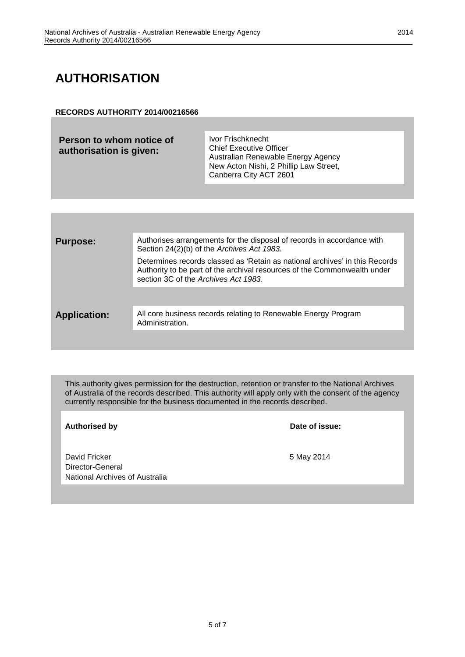# <span id="page-4-0"></span>**AUTHORISATION**

#### **RECORDS AUTHORITY 2014/00216566**

| Person to whom notice of<br>authorisation is given: | Ivor Frischknecht<br><b>Chief Executive Officer</b><br>Australian Renewable Energy Agency<br>New Acton Nishi, 2 Phillip Law Street,<br>Canberra City ACT 2601 |
|-----------------------------------------------------|---------------------------------------------------------------------------------------------------------------------------------------------------------------|
|                                                     |                                                                                                                                                               |

| <b>Purpose:</b>     | Authorises arrangements for the disposal of records in accordance with<br>Section 24(2)(b) of the Archives Act 1983.                                                                            |
|---------------------|-------------------------------------------------------------------------------------------------------------------------------------------------------------------------------------------------|
|                     | Determines records classed as 'Retain as national archives' in this Records<br>Authority to be part of the archival resources of the Commonwealth under<br>section 3C of the Archives Act 1983. |
|                     |                                                                                                                                                                                                 |
| <b>Application:</b> | All core business records relating to Renewable Energy Program<br>Administration.                                                                                                               |
|                     |                                                                                                                                                                                                 |

This authority gives permission for the destruction, retention or transfer to the National Archives of Australia of the records described. This authority will apply only with the consent of the agency currently responsible for the business documented in the records described.

Authorised by **Date of issue:** 

David Fricker 5 May 2014 Director-General National Archives of Australia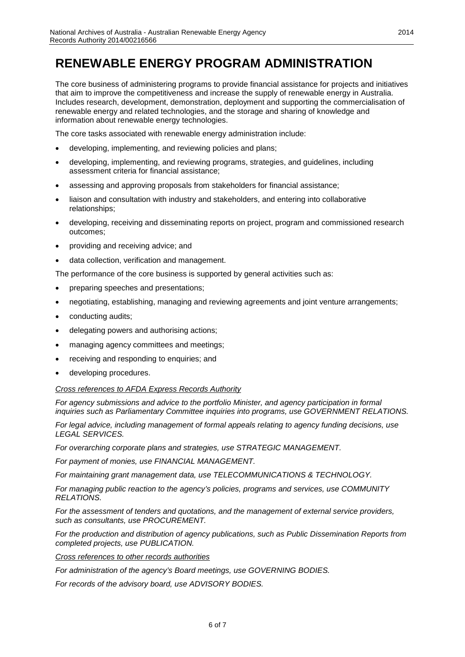#### <span id="page-5-0"></span>**RENEWABLE ENERGY PROGRAM ADMINISTRATION**

The core business of administering programs to provide financial assistance for projects and initiatives that aim to improve the competitiveness and increase the supply of renewable energy in Australia. Includes research, development, demonstration, deployment and supporting the commercialisation of renewable energy and related technologies, and the storage and sharing of knowledge and information about renewable energy technologies.

The core tasks associated with renewable energy administration include:

- developing, implementing, and reviewing policies and plans;
- developing, implementing, and reviewing programs, strategies, and guidelines, including assessment criteria for financial assistance;
- assessing and approving proposals from stakeholders for financial assistance;
- liaison and consultation with industry and stakeholders, and entering into collaborative relationships;
- developing, receiving and disseminating reports on project, program and commissioned research outcomes;
- providing and receiving advice; and
- data collection, verification and management.

The performance of the core business is supported by general activities such as:

- preparing speeches and presentations;
- negotiating, establishing, managing and reviewing agreements and joint venture arrangements;
- conducting audits;
- delegating powers and authorising actions;
- managing agency committees and meetings;
- receiving and responding to enquiries; and
- developing procedures.

#### *Cross references to AFDA Express Records Authority*

*For agency submissions and advice to the portfolio Minister, and agency participation in formal inquiries such as Parliamentary Committee inquiries into programs, use GOVERNMENT RELATIONS.*

*For legal advice, including management of formal appeals relating to agency funding decisions, use LEGAL SERVICES.*

*For overarching corporate plans and strategies, use STRATEGIC MANAGEMENT.*

*For payment of monies, use FINANCIAL MANAGEMENT.*

*For maintaining grant management data, use TELECOMMUNICATIONS & TECHNOLOGY.*

*For managing public reaction to the agency's policies, programs and services, use COMMUNITY RELATIONS.*

*For the assessment of tenders and quotations, and the management of external service providers, such as consultants, use PROCUREMENT.*

*For the production and distribution of agency publications, such as Public Dissemination Reports from completed projects, use PUBLICATION.*

*Cross references to other records authorities*

*For administration of the agency's Board meetings, use GOVERNING BODIES.* 

*For records of the advisory board, use ADVISORY BODIES.*